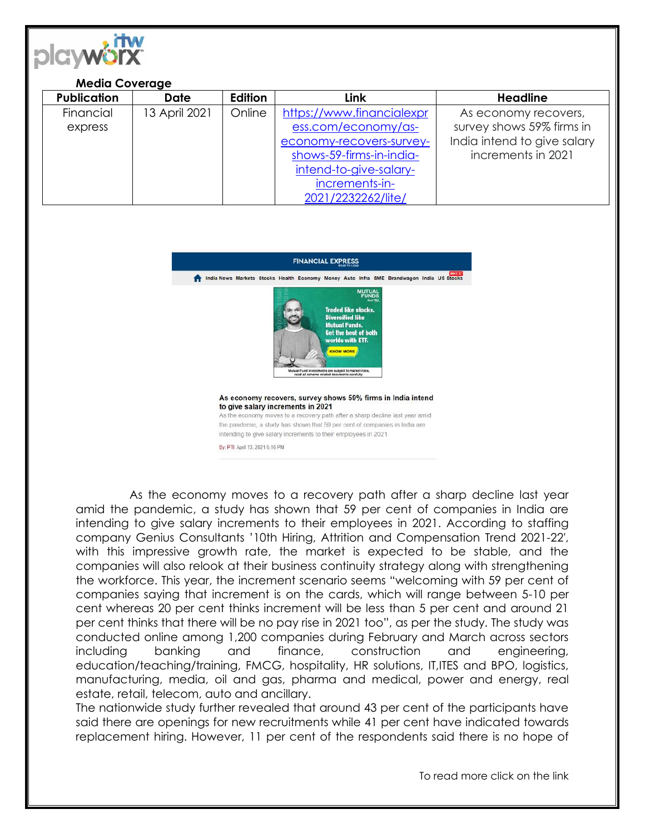

## **Media Coverage**

| <b>Publication</b> | <b>Date</b>   | Edition | Link                      | <b>Headline</b>             |
|--------------------|---------------|---------|---------------------------|-----------------------------|
| Financial          | 13 April 2021 | Online  | https://www.financialexpr | As economy recovers,        |
| express            |               |         | ess.com/economy/as-       | survey shows 59% firms in   |
|                    |               |         | economy-recovers-survey-  | India intend to give salary |
|                    |               |         | shows-59-firms-in-india-  | increments in 2021          |
|                    |               |         | intend-to-give-salary-    |                             |
|                    |               |         | increments-in-            |                             |
|                    |               |         | 2021/2232262/lite/        |                             |



As the economy moves to a recovery path after a sharp decline last year amid the pandemic, a study has shown that 59 per cent of companies in India are intending to give salary increments to their employees in 2021. According to staffing company Genius Consultants '10th Hiring, Attrition and Compensation Trend 2021-22′, with this impressive growth rate, the market is expected to be stable, and the companies will also relook at their business continuity strategy along with strengthening the workforce. This year, the increment scenario seems "welcoming with 59 per cent of companies saying that increment is on the cards, which will range between 5-10 per cent whereas 20 per cent thinks increment will be less than 5 per cent and around 21 per cent thinks that there will be no pay rise in 2021 too", as per the study. The study was conducted online among 1,200 companies during February and March across sectors including banking and finance, construction and engineering, education/teaching/training, FMCG, hospitality, HR solutions, IT,ITES and BPO, logistics, manufacturing, media, oil and gas, pharma and medical, power and energy, real estate, retail, telecom, auto and ancillary.

The nationwide study further revealed that around 43 per cent of the participants have said there are openings for new recruitments while 41 per cent have indicated towards replacement hiring. However, 11 per cent of the respondents said there is no hope of

To read more click on the link